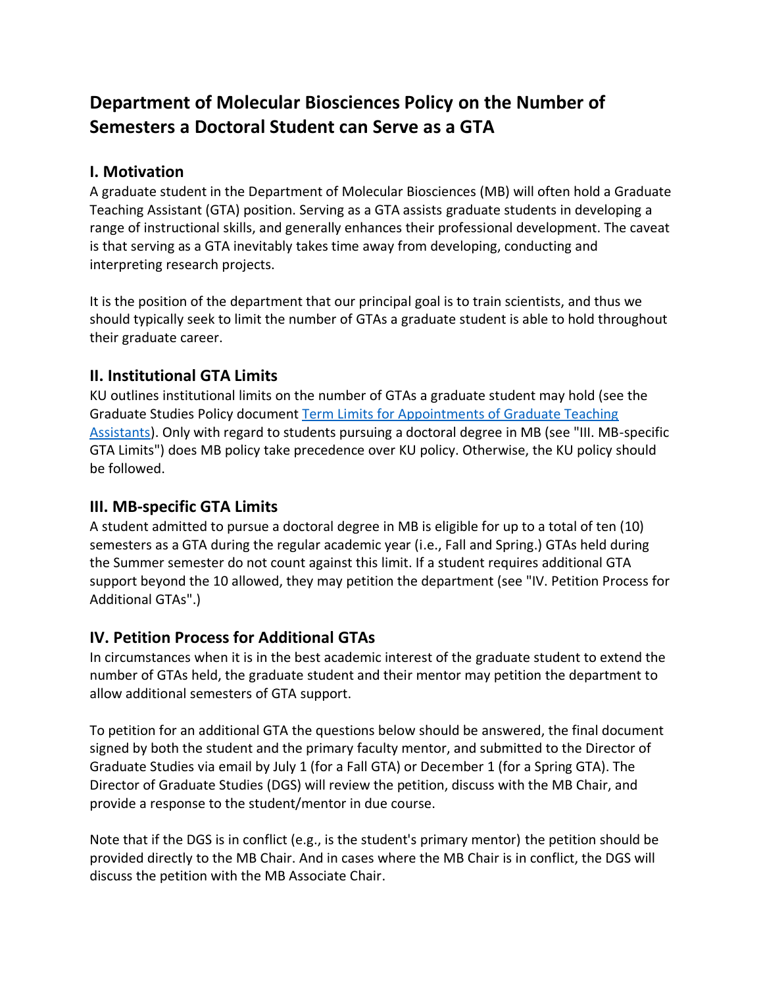# **Department of Molecular Biosciences Policy on the Number of Semesters a Doctoral Student can Serve as a GTA**

#### **I. Motivation**

A graduate student in the Department of Molecular Biosciences (MB) will often hold a Graduate Teaching Assistant (GTA) position. Serving as a GTA assists graduate students in developing a range of instructional skills, and generally enhances their professional development. The caveat is that serving as a GTA inevitably takes time away from developing, conducting and interpreting research projects.

It is the position of the department that our principal goal is to train scientists, and thus we should typically seek to limit the number of GTAs a graduate student is able to hold throughout their graduate career.

## **II. Institutional GTA Limits**

KU outlines institutional limits on the number of GTAs a graduate student may hold (see the Graduate Studies Policy document [Term Limits for Appointments of Graduate Teaching](http://policy.ku.edu/graduate-studies/appointment-limit-GTA)  [Assistants\)](http://policy.ku.edu/graduate-studies/appointment-limit-GTA). Only with regard to students pursuing a doctoral degree in MB (see "III. MB-specific GTA Limits") does MB policy take precedence over KU policy. Otherwise, the KU policy should be followed.

## **III. MB-specific GTA Limits**

A student admitted to pursue a doctoral degree in MB is eligible for up to a total of ten (10) semesters as a GTA during the regular academic year (i.e., Fall and Spring.) GTAs held during the Summer semester do not count against this limit. If a student requires additional GTA support beyond the 10 allowed, they may petition the department (see "IV. Petition Process for Additional GTAs".)

## **IV. Petition Process for Additional GTAs**

In circumstances when it is in the best academic interest of the graduate student to extend the number of GTAs held, the graduate student and their mentor may petition the department to allow additional semesters of GTA support.

To petition for an additional GTA the questions below should be answered, the final document signed by both the student and the primary faculty mentor, and submitted to the Director of Graduate Studies via email by July 1 (for a Fall GTA) or December 1 (for a Spring GTA). The Director of Graduate Studies (DGS) will review the petition, discuss with the MB Chair, and provide a response to the student/mentor in due course.

Note that if the DGS is in conflict (e.g., is the student's primary mentor) the petition should be provided directly to the MB Chair. And in cases where the MB Chair is in conflict, the DGS will discuss the petition with the MB Associate Chair.